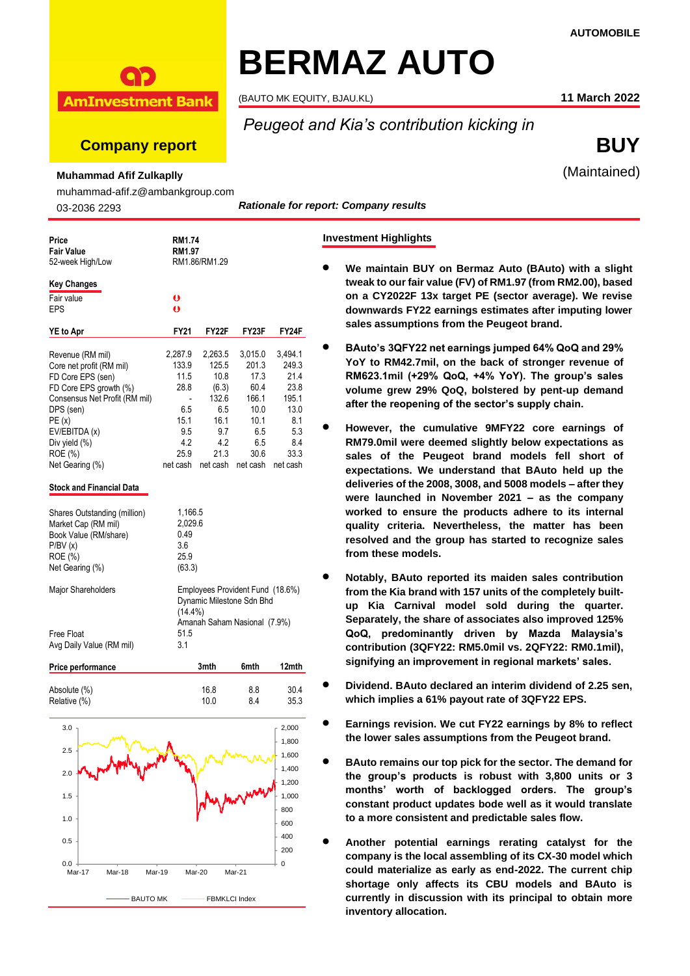

(BAUTO MK EQUITY, BJAU.KL) **11 March 2022**

**Company report BUY**

**AmInvestment Bank** 

# *Peugeot and Kia's contribution kicking in*

**Investment Highlights**

(Maintained)

**Muhammad Afif Zulkaplly**

muhammad-afif.z@ambankgroup.com

03-2036 2293

*Rationale for report: Company results*

| Price<br>Fair Value<br>52-week High/Low |             | RM1.74<br>RM1.97<br>RM1.86/RM1.29 |                                  |          |  |  |  |  |
|-----------------------------------------|-------------|-----------------------------------|----------------------------------|----------|--|--|--|--|
| <b>Key Changes</b><br>Fair value        | o           |                                   |                                  |          |  |  |  |  |
| EPS                                     | $\bullet$   |                                   |                                  |          |  |  |  |  |
| <b>YE</b> to Apr                        | FY21        | FY22F                             | FY23F                            | FY24F    |  |  |  |  |
| Revenue (RM mil)                        | 2,287.9     | 2,263.5                           | 3,015.0                          | 3,494.1  |  |  |  |  |
| Core net profit (RM mil)                | 133.9       | 125.5                             | 201.3                            | 249.3    |  |  |  |  |
| FD Core EPS (sen)                       | 11.5        | 10.8                              | 17.3                             | 21.4     |  |  |  |  |
| FD Core EPS growth (%)                  | 28.8        | (6.3)                             | 60.4                             | 23.8     |  |  |  |  |
| Consensus Net Profit (RM mil)           |             | 132.6                             | 166.1                            | 195.1    |  |  |  |  |
| DPS (sen)                               | 6.5         | 6.5                               | 10.0                             | 13.0     |  |  |  |  |
| PE(x)                                   | 15.1        | 16.1                              | 10.1                             | 8.1      |  |  |  |  |
| EV/EBITDA (x)                           | 9.5         | 9.7                               | 6.5                              | 5.3      |  |  |  |  |
| Div yield (%)                           | 4.2         | 4.2                               | 6.5                              | 8.4      |  |  |  |  |
| ROE (%)                                 | 25.9        | 21.3                              | 30.6                             | 33.3     |  |  |  |  |
| Net Gearing (%)                         | net cash    | net cash                          | net cash                         | net cash |  |  |  |  |
| <b>Stock and Financial Data</b>         |             |                                   |                                  |          |  |  |  |  |
| Shares Outstanding (million)            | 1,166.5     |                                   |                                  |          |  |  |  |  |
| Market Cap (RM mil)                     | 2,029.6     |                                   |                                  |          |  |  |  |  |
| Book Value (RM/share)                   | 0.49        |                                   |                                  |          |  |  |  |  |
| P/BV(x)                                 | 3.6         |                                   |                                  |          |  |  |  |  |
| ROE (%)                                 | 25.9        |                                   |                                  |          |  |  |  |  |
| Net Gearing (%)                         | (63.3)      |                                   |                                  |          |  |  |  |  |
| Major Shareholders                      |             |                                   | Employees Provident Fund (18.6%) |          |  |  |  |  |
|                                         | $(14.4\%)$  |                                   | Dynamic Milestone Sdn Bhd        |          |  |  |  |  |
|                                         |             |                                   | Amanah Saham Nasional (7.9%)     |          |  |  |  |  |
| Free Float<br>Avg Daily Value (RM mil)  | 51.5<br>3.1 |                                   |                                  |          |  |  |  |  |
| Price performance                       |             | 3mth                              | 6mth                             | 12mth    |  |  |  |  |



BAUTO MK FBMKLCI Index

• **We maintain BUY on Bermaz Auto (BAuto) with a slight tweak to our fair value (FV) of RM1.97 (from RM2.00), based on a CY2022F 13x target PE (sector average). We revise downwards FY22 earnings estimates after imputing lower** 

**sales assumptions from the Peugeot brand.**

- **BAuto's 3QFY22 net earnings jumped 64% QoQ and 29% YoY to RM42.7mil, on the back of stronger revenue of RM623.1mil (+29% QoQ, +4% YoY). The group's sales volume grew 29% QoQ, bolstered by pent-up demand after the reopening of the sector's supply chain.**
- **However, the cumulative 9MFY22 core earnings of RM79.0mil were deemed slightly below expectations as sales of the Peugeot brand models fell short of expectations. We understand that BAuto held up the deliveries of the 2008, 3008, and 5008 models – after they were launched in November 2021 – as the company worked to ensure the products adhere to its internal quality criteria. Nevertheless, the matter has been resolved and the group has started to recognize sales from these models.**
- **Notably, BAuto reported its maiden sales contribution from the Kia brand with 157 units of the completely builtup Kia Carnival model sold during the quarter. Separately, the share of associates also improved 125% QoQ, predominantly driven by Mazda Malaysia's contribution (3QFY22: RM5.0mil vs. 2QFY22: RM0.1mil), signifying an improvement in regional markets' sales.**
- **Dividend. BAuto declared an interim dividend of 2.25 sen, which implies a 61% payout rate of 3QFY22 EPS.**
- **Earnings revision. We cut FY22 earnings by 8% to reflect the lower sales assumptions from the Peugeot brand.**
- **BAuto remains our top pick for the sector. The demand for the group's products is robust with 3,800 units or 3 months' worth of backlogged orders. The group's constant product updates bode well as it would translate to a more consistent and predictable sales flow.**
- **Another potential earnings rerating catalyst for the company is the local assembling of its CX-30 model which could materialize as early as end-2022. The current chip shortage only affects its CBU models and BAuto is currently in discussion with its principal to obtain more inventory allocation.**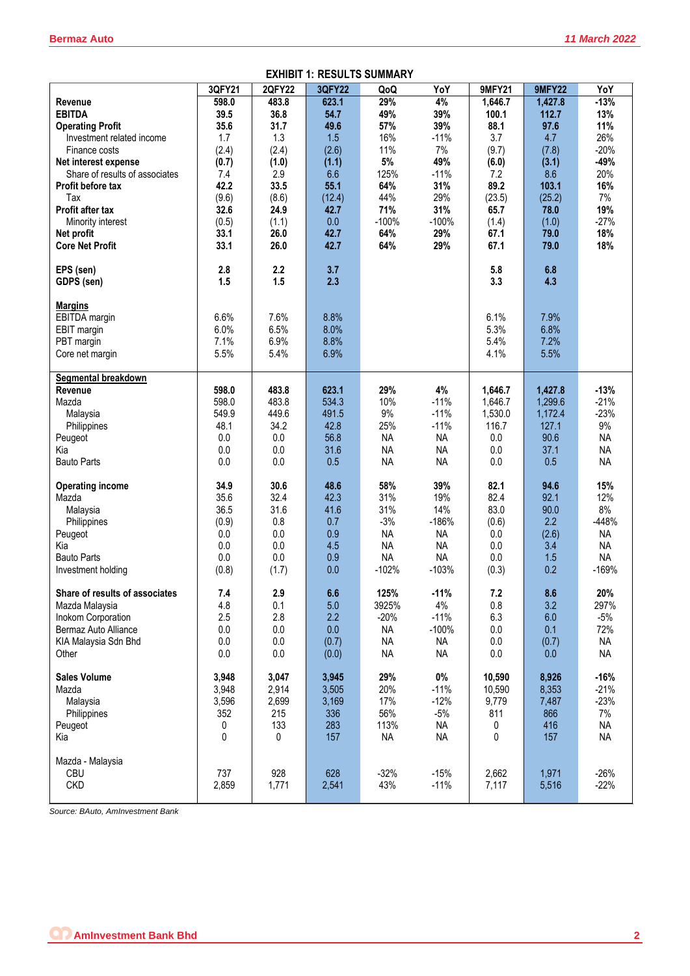|                                | 3QFY21  | <b>2QFY22</b> | 3QFY22 | QoQ       | YoY       | <b>9MFY21</b> | <b>9MFY22</b> | YoY       |
|--------------------------------|---------|---------------|--------|-----------|-----------|---------------|---------------|-----------|
| Revenue                        | 598.0   | 483.8         | 623.1  | 29%       | 4%        | 1,646.7       | 1,427.8       | $-13%$    |
| <b>EBITDA</b>                  | 39.5    | 36.8          | 54.7   | 49%       | 39%       | 100.1         | 112.7         | 13%       |
| <b>Operating Profit</b>        | 35.6    | 31.7          | 49.6   | 57%       | 39%       | 88.1          | 97.6          | 11%       |
| Investment related income      | 1.7     | 1.3           | 1.5    | 16%       | $-11%$    | 3.7           | 4.7           | 26%       |
| Finance costs                  | (2.4)   | (2.4)         | (2.6)  | 11%       | 7%        | (9.7)         | (7.8)         | $-20%$    |
| Net interest expense           | (0.7)   | (1.0)         | (1.1)  | $5\%$     | 49%       | (6.0)         | (3.1)         | $-49%$    |
| Share of results of associates | 7.4     | 2.9           | 6.6    | 125%      | $-11%$    | 7.2           | 8.6           | 20%       |
| <b>Profit before tax</b>       | 42.2    | 33.5          | 55.1   | 64%       | 31%       | 89.2          | 103.1         | 16%       |
| Tax                            | (9.6)   | (8.6)         | (12.4) | 44%       | 29%       | (23.5)        | (25.2)        | 7%        |
| Profit after tax               | 32.6    | 24.9          | 42.7   | 71%       | 31%       | 65.7          | 78.0          | 19%       |
| Minority interest              | (0.5)   | (1.1)         | 0.0    | $-100%$   | $-100%$   | (1.4)         | (1.0)         | $-27%$    |
| Net profit                     | 33.1    | 26.0          | 42.7   | 64%       | 29%       | 67.1          | 79.0          | 18%       |
| <b>Core Net Profit</b>         | 33.1    | 26.0          | 42.7   | 64%       | 29%       | 67.1          | 79.0          | 18%       |
|                                |         |               |        |           |           |               |               |           |
| EPS (sen)                      | 2.8     | 2.2           | 3.7    |           |           | 5.8           | 6.8           |           |
| GDPS (sen)                     | 1.5     | 1.5           | 2.3    |           |           | 3.3           | 4.3           |           |
|                                |         |               |        |           |           |               |               |           |
| <b>Margins</b>                 |         |               |        |           |           |               |               |           |
| EBITDA margin                  | 6.6%    | 7.6%          | 8.8%   |           |           | 6.1%          | 7.9%          |           |
| EBIT margin                    | 6.0%    | 6.5%          | 8.0%   |           |           | 5.3%          | 6.8%          |           |
| PBT margin                     | 7.1%    | 6.9%          | 8.8%   |           |           | 5.4%          | 7.2%          |           |
| Core net margin                | 5.5%    | 5.4%          | 6.9%   |           |           | 4.1%          | 5.5%          |           |
|                                |         |               |        |           |           |               |               |           |
| Segmental breakdown            |         |               |        |           |           |               |               |           |
| Revenue                        | 598.0   | 483.8         | 623.1  | 29%       | 4%        | 1,646.7       | 1,427.8       | $-13%$    |
| Mazda                          | 598.0   | 483.8         | 534.3  | 10%       | $-11%$    | 1,646.7       | 1,299.6       | $-21%$    |
| Malaysia                       | 549.9   | 449.6         | 491.5  | $9\%$     | $-11%$    | 1,530.0       | 1,172.4       | $-23%$    |
| Philippines                    | 48.1    | 34.2          | 42.8   | 25%       | $-11%$    | 116.7         | 127.1         | 9%        |
| Peugeot                        | 0.0     | 0.0           | 56.8   | <b>NA</b> | <b>NA</b> | 0.0           | 90.6          | <b>NA</b> |
| Kia                            | 0.0     | 0.0           | 31.6   | <b>NA</b> | <b>NA</b> | 0.0           | 37.1          | <b>NA</b> |
| <b>Bauto Parts</b>             | 0.0     | 0.0           | 0.5    | <b>NA</b> | <b>NA</b> | 0.0           | 0.5           | <b>NA</b> |
|                                |         |               |        |           |           |               |               |           |
| <b>Operating income</b>        | 34.9    | 30.6          | 48.6   | 58%       | 39%       | 82.1          | 94.6          | 15%       |
| Mazda                          | 35.6    | 32.4          | 42.3   | 31%       | 19%       | 82.4          | 92.1          | 12%       |
| Malaysia                       | 36.5    | 31.6          | 41.6   | 31%       | 14%       | 83.0          | 90.0          | 8%        |
| Philippines                    | (0.9)   | 0.8           | 0.7    | $-3%$     | $-186%$   | (0.6)         | 2.2           | $-448%$   |
| Peugeot                        | 0.0     | 0.0           | 0.9    | <b>NA</b> | <b>NA</b> | 0.0           | (2.6)         | <b>NA</b> |
| Kia                            | 0.0     | 0.0           | 4.5    | <b>NA</b> | <b>NA</b> | 0.0           | 3.4           | <b>NA</b> |
| <b>Bauto Parts</b>             | 0.0     | 0.0           | 0.9    | <b>NA</b> | <b>NA</b> | 0.0           | 1.5           | <b>NA</b> |
| Investment holding             | (0.8)   | (1.7)         | 0.0    | $-102%$   | $-103%$   | (0.3)         | 0.2           | $-169%$   |
|                                |         |               |        |           |           |               |               |           |
| Share of results of associates | 7.4     | 2.9           | 6.6    | 125%      | $-11%$    | 7.2           | 8.6           | 20%       |
| Mazda Malaysia                 | 4.8     | 0.1           | 5.0    | 3925%     | $4\%$     | 0.8           | 3.2           | 297%      |
| Inokom Corporation             | 2.5     | 2.8           | 2.2    | $-20%$    | $-11%$    | 6.3           | 6.0           | $-5%$     |
| Bermaz Auto Alliance           | $0.0\,$ | $0.0\,$       | 0.0    | <b>NA</b> | $-100%$   | $0.0\,$       | 0.1           | 72%       |
| KIA Malaysia Sdn Bhd           | 0.0     | 0.0           | (0.7)  | <b>NA</b> | <b>NA</b> | 0.0           | (0.7)         | <b>NA</b> |
| Other                          | 0.0     | 0.0           | (0.0)  | <b>NA</b> | <b>NA</b> | 0.0           | 0.0           | <b>NA</b> |
|                                |         |               |        |           |           |               |               |           |
| <b>Sales Volume</b>            | 3,948   | 3,047         | 3,945  | 29%       | $0\%$     | 10,590        | 8,926         | $-16%$    |
| Mazda                          | 3,948   | 2,914         | 3,505  | 20%       | $-11%$    | 10,590        | 8,353         | $-21%$    |
| Malaysia                       | 3,596   | 2,699         | 3,169  | 17%       | $-12%$    | 9,779         | 7,487         | $-23%$    |
| Philippines                    | 352     | 215           | 336    | 56%       | $-5%$     | 811           | 866           | 7%        |
| Peugeot                        | 0       | 133           | 283    | 113%      | <b>NA</b> | 0             | 416           | <b>NA</b> |
| Kia                            | 0       | 0             | 157    | NA        | <b>NA</b> | 0             | 157           | <b>NA</b> |
|                                |         |               |        |           |           |               |               |           |
| Mazda - Malaysia               |         |               |        |           |           |               |               |           |
| <b>CBU</b>                     | 737     | 928           | 628    | $-32%$    | $-15%$    | 2,662         | 1,971         | $-26%$    |
| <b>CKD</b>                     | 2,859   | 1,771         | 2,541  | 43%       | $-11%$    | 7,117         | 5,516         | $-22%$    |
|                                |         |               |        |           |           |               |               |           |

#### **EXHIBIT 1: RESULTS SUMMARY**

*Source: BAuto, AmInvestment Bank*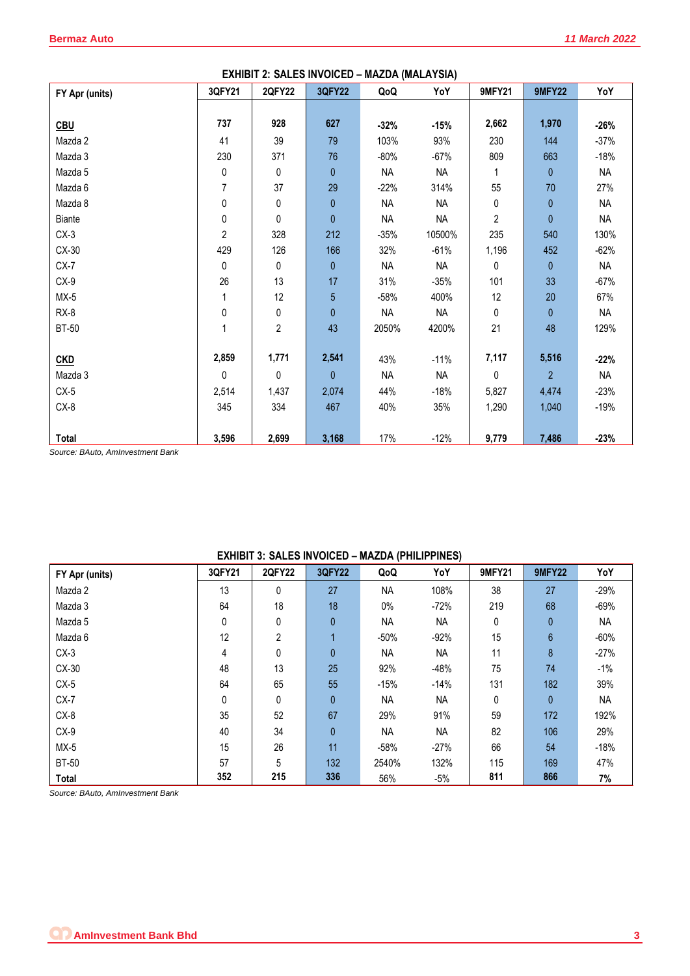| EXHIBIT 2: SALES INVOICED - MAZDA (MALAYSIA) |        |               |                |           |           |               |                |           |
|----------------------------------------------|--------|---------------|----------------|-----------|-----------|---------------|----------------|-----------|
| FY Apr (units)                               | 3QFY21 | <b>2QFY22</b> | <b>3QFY22</b>  | QoQ       | YoY       | <b>9MFY21</b> | <b>9MFY22</b>  | YoY       |
|                                              |        |               |                |           |           |               |                |           |
| <b>CBU</b>                                   | 737    | 928           | 627            | $-32%$    | $-15%$    | 2,662         | 1,970          | $-26%$    |
| Mazda 2                                      | 41     | 39            | 79             | 103%      | 93%       | 230           | 144            | $-37%$    |
| Mazda 3                                      | 230    | 371           | 76             | $-80%$    | $-67%$    | 809           | 663            | $-18%$    |
| Mazda 5                                      | 0      | 0             | 0              | <b>NA</b> | <b>NA</b> |               | 0              | <b>NA</b> |
| Mazda 6                                      | 7      | 37            | 29             | $-22%$    | 314%      | 55            | 70             | 27%       |
| Mazda 8                                      | 0      | 0             | 0              | <b>NA</b> | <b>NA</b> | 0             | 0              | <b>NA</b> |
| <b>Biante</b>                                | 0      | 0             | 0              | <b>NA</b> | <b>NA</b> | 2             | $\overline{0}$ | <b>NA</b> |
| $CX-3$                                       | 2      | 328           | 212            | $-35%$    | 10500%    | 235           | 540            | 130%      |
| CX-30                                        | 429    | 126           | 166            | 32%       | $-61%$    | 1,196         | 452            | $-62%$    |
| $CX-7$                                       | 0      | 0             | 0              | <b>NA</b> | <b>NA</b> | 0             | 0              | NA        |
| $CX-9$                                       | 26     | 13            | 17             | 31%       | $-35%$    | 101           | 33             | $-67%$    |
| $MX-5$                                       | 1      | 12            | 5              | $-58%$    | 400%      | 12            | 20             | 67%       |
| $RX-8$                                       | 0      | 0             | $\mathbf{0}$   | <b>NA</b> | <b>NA</b> | 0             | $\overline{0}$ | <b>NA</b> |
| <b>BT-50</b>                                 | 1      | 2             | 43             | 2050%     | 4200%     | 21            | 48             | 129%      |
|                                              |        |               |                |           |           |               |                |           |
| <b>CKD</b>                                   | 2,859  | 1,771         | 2,541          | 43%       | $-11%$    | 7,117         | 5,516          | $-22%$    |
| Mazda 3                                      | 0      | 0             | $\overline{0}$ | <b>NA</b> | <b>NA</b> | 0             | $\overline{2}$ | NA        |
| $CX-5$                                       | 2,514  | 1,437         | 2,074          | 44%       | $-18%$    | 5,827         | 4,474          | $-23%$    |
| $CX-8$                                       | 345    | 334           | 467            | 40%       | 35%       | 1,290         | 1,040          | $-19%$    |
|                                              |        |               |                |           |           |               |                |           |
| Total                                        | 3,596  | 2,699         | 3,168          | 17%       | $-12%$    | 9,779         | 7,486          | $-23%$    |

*Source: BAuto, AmInvestment Bank*

| <u>LAINDIT 9. OALLO INTOIOLD – MALDA (I HILII I INLO)</u> |        |                |               |           |           |               |               |           |
|-----------------------------------------------------------|--------|----------------|---------------|-----------|-----------|---------------|---------------|-----------|
| FY Apr (units)                                            | 3QFY21 | <b>2QFY22</b>  | <b>3QFY22</b> | QoQ       | YoY       | <b>9MFY21</b> | <b>9MFY22</b> | YoY       |
| Mazda 2                                                   | 13     | $\mathbf{0}$   | 27            | <b>NA</b> | 108%      | 38            | 27            | $-29%$    |
| Mazda 3                                                   | 64     | 18             | 18            | $0\%$     | $-72%$    | 219           | 68            | $-69%$    |
| Mazda 5                                                   | 0      | 0              | $\mathbf{0}$  | <b>NA</b> | NA        | 0             | 0             | NА        |
| Mazda 6                                                   | 12     | $\overline{2}$ |               | -50%      | $-92%$    | 15            | 6             | $-60%$    |
| $CX-3$                                                    | 4      | 0              | $\mathbf{0}$  | <b>NA</b> | <b>NA</b> | 11            | 8             | $-27%$    |
| CX-30                                                     | 48     | 13             | 25            | 92%       | $-48%$    | 75            | 74            | $-1\%$    |
| $CX-5$                                                    | 64     | 65             | 55            | $-15%$    | $-14%$    | 131           | 182           | 39%       |
| $CX-7$                                                    | 0      | 0              | $\mathbf{0}$  | <b>NA</b> | <b>NA</b> | 0             | 0             | <b>NA</b> |
| CX-8                                                      | 35     | 52             | 67            | 29%       | 91%       | 59            | 172           | 192%      |
| $CX-9$                                                    | 40     | 34             | $\mathbf{0}$  | <b>NA</b> | NA        | 82            | 106           | 29%       |
| $MX-5$                                                    | 15     | 26             | 11            | $-58%$    | $-27%$    | 66            | 54            | $-18%$    |
| <b>BT-50</b>                                              | 57     | 5              | 132           | 2540%     | 132%      | 115           | 169           | 47%       |
| Total                                                     | 352    | 215            | 336           | 56%       | $-5%$     | 811           | 866           | 7%        |

**EXHIBIT 3: SALES INVOICED – MAZDA (PHILIPPINES)** 

*Source: BAuto, AmInvestment Bank*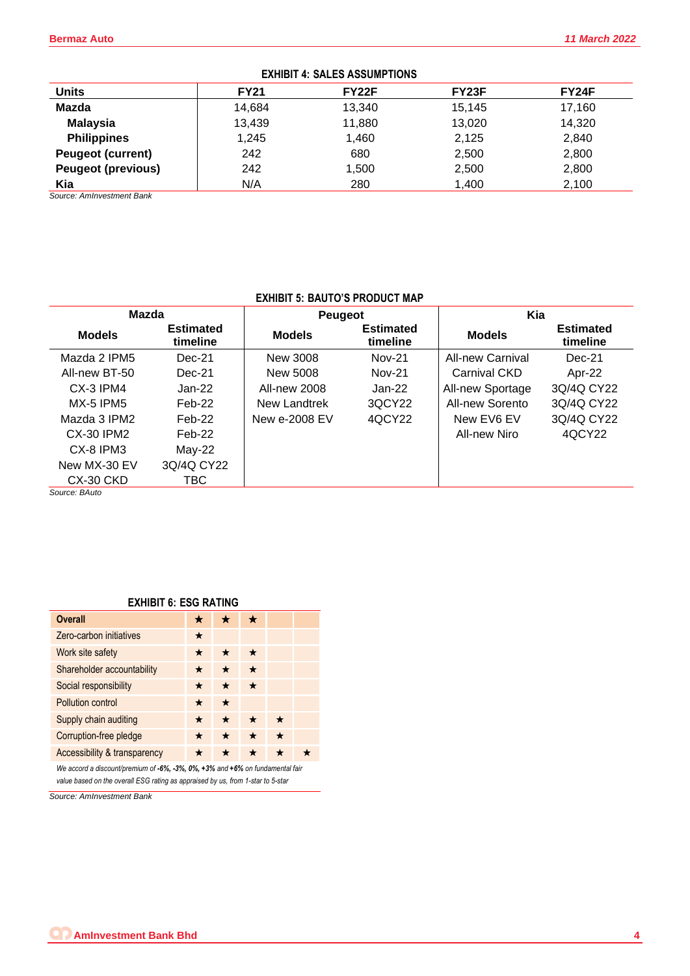|                           | LAINDII T. UALLU AUUUINI TIVITU |                    |                    |        |  |  |  |  |  |  |
|---------------------------|---------------------------------|--------------------|--------------------|--------|--|--|--|--|--|--|
| <b>Units</b>              | <b>FY21</b>                     | FY <sub>22</sub> F | FY <sub>23</sub> F | FY24F  |  |  |  |  |  |  |
| Mazda                     | 14,684                          | 13,340             | 15.145             | 17,160 |  |  |  |  |  |  |
| <b>Malaysia</b>           | 13,439                          | 11,880             | 13,020             | 14,320 |  |  |  |  |  |  |
| <b>Philippines</b>        | 1,245                           | 1,460              | 2,125              | 2,840  |  |  |  |  |  |  |
| <b>Peugeot (current)</b>  | 242                             | 680                | 2,500              | 2,800  |  |  |  |  |  |  |
| <b>Peugeot (previous)</b> | 242                             | 1,500              | 2,500              | 2,800  |  |  |  |  |  |  |
| Kia                       | N/A                             | 280                | 1,400              | 2,100  |  |  |  |  |  |  |

# **EXHIBIT 4: SALES ASSUMPTIONS**

*Source: AmInvestment Bank*

## **EXHIBIT 5: BAUTO'S PRODUCT MAP**

| <b>Mazda</b>              |                              | <b>Peugeot</b> |                              | Kia                     |                              |
|---------------------------|------------------------------|----------------|------------------------------|-------------------------|------------------------------|
| <b>Models</b>             | <b>Estimated</b><br>timeline | <b>Models</b>  | <b>Estimated</b><br>timeline | <b>Models</b>           | <b>Estimated</b><br>timeline |
| Mazda 2 IPM5              | $Dec-21$                     | New 3008       | <b>Nov-21</b>                | <b>All-new Carnival</b> | $Dec-21$                     |
| All-new BT-50             | $Dec-21$                     | New 5008       | <b>Nov-21</b>                | Carnival CKD            | Apr-22                       |
| $CX-3$ IPM4               | Jan-22                       | All-new 2008   | Jan-22                       | All-new Sportage        | 3Q/4Q CY22                   |
| <b>MX-5 IPM5</b>          | $Feb-22$                     | New Landtrek   | 3QCY22                       | All-new Sorento         | 3Q/4Q CY22                   |
| Mazda 3 IPM2              | $Feb-22$                     | New e-2008 EV  | 4QCY22                       | New EV6 EV              | 3Q/4Q CY22                   |
| CX-30 IPM2                | $Feb-22$                     |                |                              | All-new Niro            | 4QCY22                       |
| CX-8 IPM3                 | $May-22$                     |                |                              |                         |                              |
| New MX-30 EV              | 3Q/4Q CY22                   |                |                              |                         |                              |
| CX-30 CKD                 | TBC                          |                |                              |                         |                              |
| $S$ <i>Nurce</i> $BA$ uto |                              |                |                              |                         |                              |

*Source: BAuto*

## **EXHIBIT 6: ESG RATING**

| <b>Overall</b>                                                                              |   |         |         |  |  |  |  |
|---------------------------------------------------------------------------------------------|---|---------|---------|--|--|--|--|
| Zero-carbon initiatives                                                                     | ★ |         |         |  |  |  |  |
| Work site safety                                                                            | ★ |         | ★       |  |  |  |  |
| Shareholder accountability                                                                  | * | ★       | $\star$ |  |  |  |  |
| Social responsibility                                                                       | ★ | $\star$ | $\star$ |  |  |  |  |
| Pollution control                                                                           | * | ★       |         |  |  |  |  |
| Supply chain auditing                                                                       | ★ | $\star$ |         |  |  |  |  |
| Corruption-free pledge                                                                      |   | ★       | $\star$ |  |  |  |  |
| Accessibility & transparency                                                                |   |         | ★       |  |  |  |  |
| We accord a discount/premium of $-6\%$ , $-3\%$ , 0%, $+3\%$ and $+6\%$ on fundamental fair |   |         |         |  |  |  |  |

*value based on the overall ESG rating as appraised by us, from 1-star to 5-star*

*Source: AmInvestment Bank*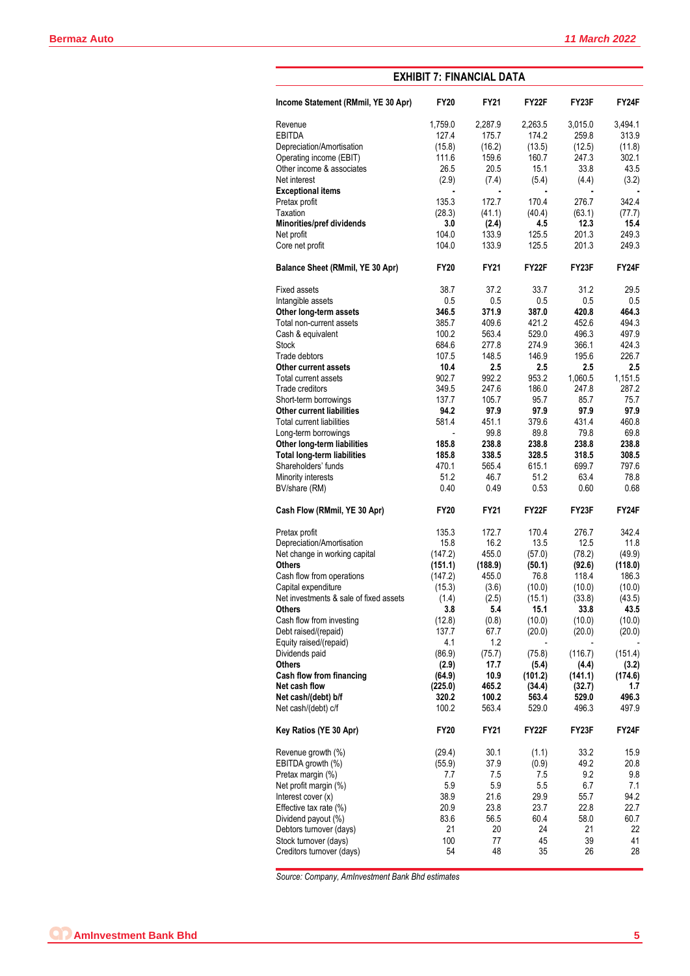| <b>EXHIBIT 7: FINANCIAL DATA</b>       |                |              |                |                    |              |  |  |  |  |
|----------------------------------------|----------------|--------------|----------------|--------------------|--------------|--|--|--|--|
| Income Statement (RMmil, YE 30 Apr)    | <b>FY20</b>    | <b>FY21</b>  | FY22F          | FY <sub>23</sub> F | FY24F        |  |  |  |  |
| Revenue                                | 1,759.0        | 2,287.9      | 2,263.5        | 3,015.0            | 3,494.1      |  |  |  |  |
| <b>EBITDA</b>                          | 127.4          | 175.7        | 174.2          | 259.8              | 313.9        |  |  |  |  |
| Depreciation/Amortisation              | (15.8)         | (16.2)       | (13.5)         | (12.5)             | (11.8)       |  |  |  |  |
| Operating income (EBIT)                | 111.6          | 159.6        | 160.7          | 247.3              | 302.1        |  |  |  |  |
| Other income & associates              | 26.5           | 20.5         | 15.1           | 33.8               | 43.5         |  |  |  |  |
| Net interest                           | (2.9)          | (7.4)        | (5.4)          | (4.4)              | (3.2)        |  |  |  |  |
| <b>Exceptional items</b>               | $\blacksquare$ | ×,           | $\blacksquare$ | $\blacksquare$     |              |  |  |  |  |
| Pretax profit                          | 135.3          | 172.7        | 170.4          | 276.7              | 342.4        |  |  |  |  |
| Taxation                               | (28.3)         | (41.1)       | (40.4)         | (63.1)             | (77.7)       |  |  |  |  |
| Minorities/pref dividends              | 3.0            | (2.4)        | 4.5            | 12.3               | 15.4         |  |  |  |  |
| Net profit                             | 104.0          | 133.9        | 125.5          | 201.3              | 249.3        |  |  |  |  |
| Core net profit                        | 104.0          | 133.9        | 125.5          | 201.3              | 249.3        |  |  |  |  |
| Balance Sheet (RMmil, YE 30 Apr)       | <b>FY20</b>    | <b>FY21</b>  | FY22F          | FY <sub>23</sub> F | FY24F        |  |  |  |  |
| <b>Fixed assets</b>                    | 38.7           | 37.2         | 33.7           | 31.2               | 29.5         |  |  |  |  |
| Intangible assets                      | 0.5            | 0.5          | 0.5            | 0.5                | 0.5          |  |  |  |  |
| Other long-term assets                 | 346.5          | 371.9        | 387.0          | 420.8              | 464.3        |  |  |  |  |
| Total non-current assets               | 385.7          | 409.6        | 421.2          | 452.6              | 494.3        |  |  |  |  |
| Cash & equivalent                      | 100.2          | 563.4        | 529.0          | 496.3              | 497.9        |  |  |  |  |
| <b>Stock</b>                           | 684.6          | 277.8        | 274.9          | 366.1              | 424.3        |  |  |  |  |
| Trade debtors                          | 107.5          | 148.5        | 146.9          | 195.6              | 226.7        |  |  |  |  |
| Other current assets                   | 10.4           | 2.5          | 2.5            | 2.5                | 2.5          |  |  |  |  |
| Total current assets                   | 902.7          | 992.2        | 953.2          | 1,060.5            | 1,151.5      |  |  |  |  |
| Trade creditors                        | 349.5          | 247.6        | 186.0          | 247.8              | 287.2        |  |  |  |  |
| Short-term borrowings                  | 137.7          | 105.7        | 95.7           | 85.7               | 75.7         |  |  |  |  |
| <b>Other current liabilities</b>       | 94.2           | 97.9         | 97.9           | 97.9               | 97.9         |  |  |  |  |
| <b>Total current liabilities</b>       | 581.4          | 451.1        | 379.6          | 431.4              | 460.8        |  |  |  |  |
| Long-term borrowings                   |                | 99.8         | 89.8           | 79.8               | 69.8         |  |  |  |  |
| Other long-term liabilities            | 185.8          | 238.8        | 238.8          | 238.8              | 238.8        |  |  |  |  |
| <b>Total long-term liabilities</b>     | 185.8          | 338.5        | 328.5          | 318.5              | 308.5        |  |  |  |  |
| Shareholders' funds                    | 470.1          | 565.4        | 615.1          | 699.7              | 797.6        |  |  |  |  |
| Minority interests<br>BV/share (RM)    | 51.2<br>0.40   | 46.7<br>0.49 | 51.2<br>0.53   | 63.4<br>0.60       | 78.8<br>0.68 |  |  |  |  |
| Cash Flow (RMmil, YE 30 Apr)           | <b>FY20</b>    | <b>FY21</b>  | FY22F          | FY23F              | FY24F        |  |  |  |  |
| Pretax profit                          | 135.3          | 172.7        | 170.4          | 276.7              | 342.4        |  |  |  |  |
| Depreciation/Amortisation              | 15.8           | 16.2         | 13.5           | 12.5               | 11.8         |  |  |  |  |
| Net change in working capital          | (147.2)        | 455.0        | (57.0)         | (78.2)             | (49.9)       |  |  |  |  |
| <b>Others</b>                          | (151.1)        | (188.9)      | (50.1)         | (92.6)             | (118.0)      |  |  |  |  |
| Cash flow from operations              | (147.2)        | 455.0        | 76.8           | 118.4              | 186.3        |  |  |  |  |
| Capital expenditure                    | (15.3)         | (3.6)        | (10.0)         | (10.0)             | (10.0)       |  |  |  |  |
| Net investments & sale of fixed assets | (1.4)          | (2.5)        | (15.1)         | (33.8)             | (43.5)       |  |  |  |  |
| <b>Others</b>                          | 3.8            | 5.4          | 15.1           | 33.8               | 43.5         |  |  |  |  |
| Cash flow from investing               | (12.8)         | (0.8)        | (10.0)         | (10.0)             | (10.0)       |  |  |  |  |
| Debt raised/(repaid)                   | 137.7          | 67.7         | (20.0)         | (20.0)             | (20.0)       |  |  |  |  |
| Equity raised/(repaid)                 | 4.1            | 1.2          |                |                    |              |  |  |  |  |
| Dividends paid                         | (86.9)         | (75.7)       | (75.8)         | (116.7)            | (151.4)      |  |  |  |  |
| <b>Others</b>                          | (2.9)          | 17.7         | (5.4)          | (4.4)              | (3.2)        |  |  |  |  |
| Cash flow from financing               | (64.9)         | 10.9         | (101.2)        | (141.1)            | (174.6)      |  |  |  |  |
| Net cash flow                          | (225.0)        | 465.2        | (34.4)         | (32.7)             | 1.7          |  |  |  |  |
| Net cash/(debt) b/f                    | 320.2          | 100.2        | 563.4          | 529.0              | 496.3        |  |  |  |  |
| Net cash/(debt) c/f                    | 100.2          | 563.4        | 529.0          | 496.3              | 497.9        |  |  |  |  |
| Key Ratios (YE 30 Apr)                 | <b>FY20</b>    | FY21         | FY22F          | FY23F              | FY24F        |  |  |  |  |
| Revenue growth (%)                     | (29.4)         | 30.1         | (1.1)          | 33.2               | 15.9         |  |  |  |  |
| EBITDA growth (%)                      | (55.9)         | 37.9         | (0.9)          | 49.2               | 20.8         |  |  |  |  |
| Pretax margin (%)                      | 7.7            | 7.5          | 7.5            | 9.2                | 9.8          |  |  |  |  |
| Net profit margin (%)                  | 5.9            | 5.9          | 5.5            | 6.7                | 7.1          |  |  |  |  |
| Interest cover (x)                     | 38.9           | 21.6         | 29.9           | 55.7               | 94.2         |  |  |  |  |
| Effective tax rate $(\%)$              | 20.9           | 23.8         | 23.7           | 22.8               | 22.7         |  |  |  |  |
| Dividend payout (%)                    | 83.6           | 56.5         | 60.4           | 58.0               | 60.7         |  |  |  |  |
| Debtors turnover (days)                | 21             | 20           | 24             | 21                 | 22           |  |  |  |  |
| Stock turnover (days)                  | 100            | 77           | 45             | 39                 | 41           |  |  |  |  |
| Creditors turnover (days)              | 54             | 48           | 35             | 26                 | 28           |  |  |  |  |

*Source: Company, AmInvestment Bank Bhd estimates*